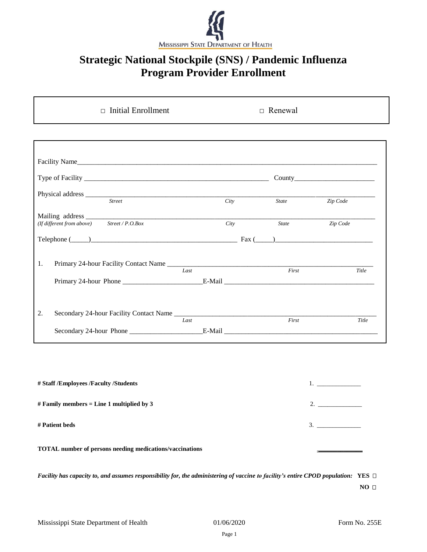

## **Strategic National Stockpile (SNS) / Pandemic Influenza Program Provider Enrollment**

| $\Box$ Initial Enrollment                      |      |       | $\Box$ Renewal |  |
|------------------------------------------------|------|-------|----------------|--|
|                                                |      |       |                |  |
|                                                |      |       |                |  |
|                                                |      |       |                |  |
|                                                | City | State | Zip Code       |  |
| (If different from above) Street / $P. O. Box$ | City | State | Zip Code       |  |
| Telephone $(\_\_)$                             |      |       |                |  |
| 1.                                             | Last | First |                |  |
|                                                |      |       | Title          |  |
| 2.                                             |      |       |                |  |
|                                                | Last | First | Title          |  |

| # Staff /Employees /Faculty /Students                           |    |
|-----------------------------------------------------------------|----|
| # Family members = Line 1 multiplied by 3                       | 2. |
| # Patient beds                                                  | 3. |
| <b>TOTAL</b> number of persons needing medications/vaccinations |    |

*Facility has capacity to, and assumes responsibility for, the administering of vaccine to facility's entire CPOD population:* **YES** 

**NO □**